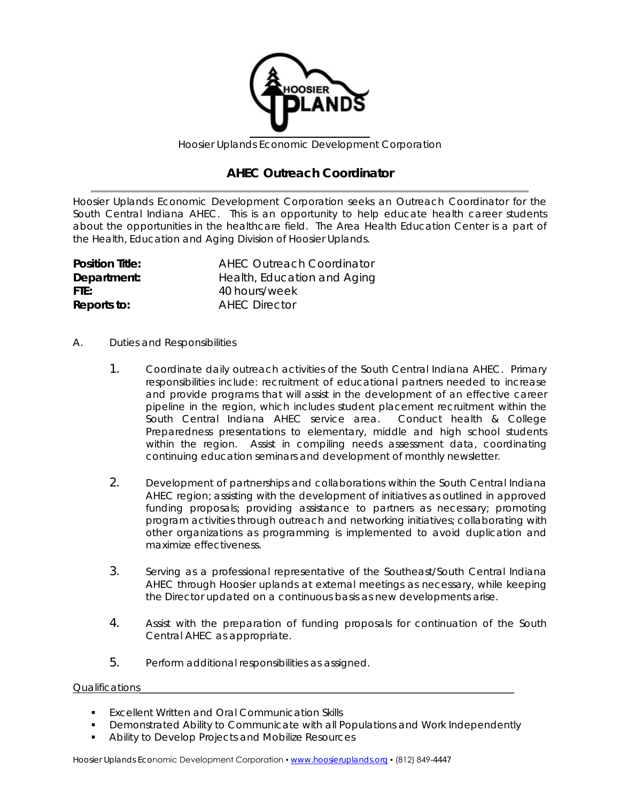

Hoosier Uplands Economic Development Corporation

## **AHEC Outreach Coordinator**

Hoosier Uplands Economic Development Corporation seeks an Outreach Coordinator for the South Central Indiana AHEC. This is an opportunity to help educate health career students about the opportunities in the healthcare field. The Area Health Education Center is a part of the Health, Education and Aging Division of Hoosier Uplands.

| <b>Position Title:</b> | <b>AHEC Outreach Coordinator</b> |
|------------------------|----------------------------------|
| Department:            | Health, Education and Aging      |
| FTE:                   | 40 hours/week                    |
| Reports to:            | <b>AHEC Director</b>             |

- A. Duties and Responsibilities
	- 1. Coordinate daily outreach activities of the South Central Indiana AHEC. Primary responsibilities include: recruitment of educational partners needed to increase and provide programs that will assist in the development of an effective career pipeline in the region, which includes student placement recruitment within the South Central Indiana AHEC service area. Conduct health & College Preparedness presentations to elementary, middle and high school students within the region. Assist in compiling needs assessment data, coordinating continuing education seminars and development of monthly newsletter.
	- 2. Development of partnerships and collaborations within the South Central Indiana AHEC region; assisting with the development of initiatives as outlined in approved funding proposals; providing assistance to partners as necessary; promoting program activities through outreach and networking initiatives; collaborating with other organizations as programming is implemented to avoid duplication and maximize effectiveness.
	- 3. Serving as a professional representative of the Southeast/South Central Indiana AHEC through Hoosier uplands at external meetings as necessary, while keeping the Director updated on a continuous basis as new developments arise.
	- 4. Assist with the preparation of funding proposals for continuation of the South Central AHEC as appropriate.
	- 5. Perform additional responsibilities as assigned.

## Qualifications

- **Excellent Written and Oral Communication Skills**
- Demonstrated Ability to Communicate with all Populations and Work Independently
- **Ability to Develop Projects and Mobilize Resources**